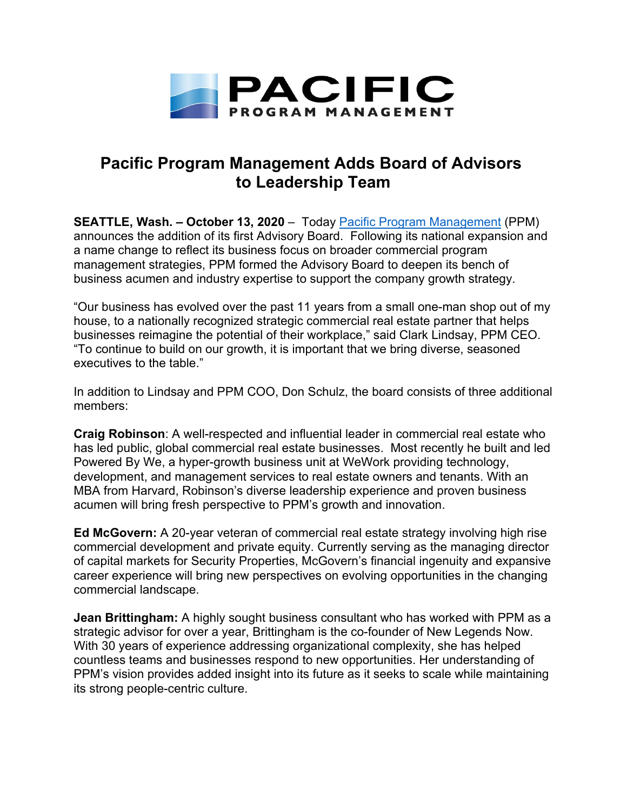

## **Pacific Program Management Adds Board of Advisors to Leadership Team**

**SEATTLE, Wash. - October 13, 2020** - Today **Pacific Program Management** (PPM) announces the addition of its first Advisory Board. Following its national expansion and a name change to reflect its business focus on broader commercial program management strategies, PPM formed the Advisory Board to deepen its bench of business acumen and industry expertise to support the company growth strategy.

"Our business has evolved over the past 11 years from a small one-man shop out of my house, to a nationally recognized strategic commercial real estate partner that helps businesses reimagine the potential of their workplace," said Clark Lindsay, PPM CEO. "To continue to build on our growth, it is important that we bring diverse, seasoned executives to the table."

In addition to Lindsay and PPM COO, Don Schulz, the board consists of three additional members:

**Craig Robinson**: A well-respected and influential leader in commercial real estate who has led public, global commercial real estate businesses. Most recently he built and led Powered By We, a hyper-growth business unit at WeWork providing technology, development, and management services to real estate owners and tenants. With an MBA from Harvard, Robinson's diverse leadership experience and proven business acumen will bring fresh perspective to PPM's growth and innovation.

**Ed McGovern:** A 20-year veteran of commercial real estate strategy involving high rise commercial development and private equity. Currently serving as the managing director of capital markets for Security Properties, McGovern's financial ingenuity and expansive career experience will bring new perspectives on evolving opportunities in the changing commercial landscape.

**Jean Brittingham:** A highly sought business consultant who has worked with PPM as a strategic advisor for over a year, Brittingham is the co-founder of New Legends Now. With 30 years of experience addressing organizational complexity, she has helped countless teams and businesses respond to new opportunities. Her understanding of PPM's vision provides added insight into its future as it seeks to scale while maintaining its strong people-centric culture.